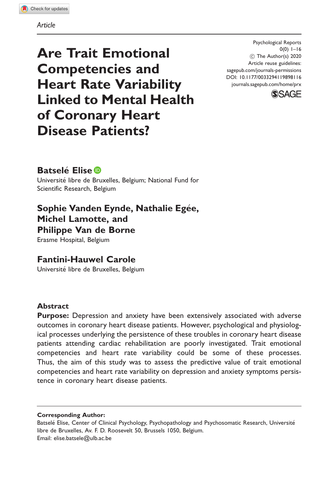### Article

Are Trait Emotional Competencies and Heart Rate Variability Linked to Mental Health of Coronary Heart Disease Patients?

Psychological Reports  $0(0)$  1–16 ! The Author(s) 2020 Article reuse guidelines: [sagepub.com/journals-permissions](http://us.sagepub.com/en-us/journals-permissions) [DOI: 10.1177/0033294119898116](http://dx.doi.org/10.1177/0033294119898116) <journals.sagepub.com/home/prx>



# **Batselé Elise D**

Universite libre de Bruxelles, Belgium; National Fund for Scientific Research, Belgium

Sophie Vanden Eynde, Nathalie Egée, Michel Lamotte, and Philippe Van de Borne

Erasme Hospital, Belgium

Fantini-Hauwel Carole

Universite libre de Bruxelles, Belgium

## **Abstract**

**Purpose:** Depression and anxiety have been extensively associated with adverse outcomes in coronary heart disease patients. However, psychological and physiological processes underlying the persistence of these troubles in coronary heart disease patients attending cardiac rehabilitation are poorly investigated. Trait emotional competencies and heart rate variability could be some of these processes. Thus, the aim of this study was to assess the predictive value of trait emotional competencies and heart rate variability on depression and anxiety symptoms persistence in coronary heart disease patients.

Corresponding Author:

Batselé Elise, Center of Clinical Psychology, Psychopathology and Psychosomatic Research, Université libre de Bruxelles, Av. F. D. Roosevelt 50, Brussels 1050, Belgium. Email: [elise.batsele@ulb.ac.be](mailto:elise.batsele@ulb.ac.be)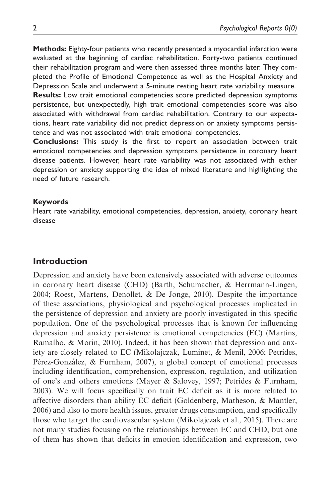Methods: Eighty-four patients who recently presented a myocardial infarction were evaluated at the beginning of cardiac rehabilitation. Forty-two patients continued their rehabilitation program and were then assessed three months later. They completed the Profile of Emotional Competence as well as the Hospital Anxiety and Depression Scale and underwent a 5-minute resting heart rate variability measure. Results: Low trait emotional competencies score predicted depression symptoms persistence, but unexpectedly, high trait emotional competencies score was also associated with withdrawal from cardiac rehabilitation. Contrary to our expectations, heart rate variability did not predict depression or anxiety symptoms persistence and was not associated with trait emotional competencies.

Conclusions: This study is the first to report an association between trait emotional competencies and depression symptoms persistence in coronary heart disease patients. However, heart rate variability was not associated with either depression or anxiety supporting the idea of mixed literature and highlighting the need of future research.

#### Keywords

Heart rate variability, emotional competencies, depression, anxiety, coronary heart disease

## Introduction

Depression and anxiety have been extensively associated with adverse outcomes in coronary heart disease (CHD) (Barth, Schumacher, & Herrmann-Lingen, 2004; Roest, Martens, Denollet, & De Jonge, 2010). Despite the importance of these associations, physiological and psychological processes implicated in the persistence of depression and anxiety are poorly investigated in this specific population. One of the psychological processes that is known for influencing depression and anxiety persistence is emotional competencies (EC) (Martins, Ramalho, & Morin, 2010). Indeed, it has been shown that depression and anxiety are closely related to EC (Mikolajczak, Luminet, & Menil, 2006; Petrides, Pérez-González, & Furnham, 2007), a global concept of emotional processes including identification, comprehension, expression, regulation, and utilization of one's and others emotions (Mayer & Salovey, 1997; Petrides & Furnham, 2003). We will focus specifically on trait EC deficit as it is more related to affective disorders than ability EC deficit (Goldenberg, Matheson, & Mantler, 2006) and also to more health issues, greater drugs consumption, and specifically those who target the cardiovascular system (Mikolajczak et al., 2015). There are not many studies focusing on the relationships between EC and CHD, but one of them has shown that deficits in emotion identification and expression, two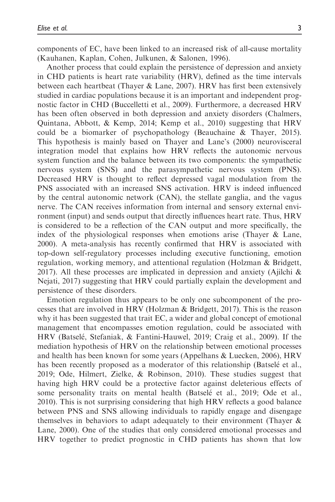components of EC, have been linked to an increased risk of all-cause mortality (Kauhanen, Kaplan, Cohen, Julkunen, & Salonen, 1996).

Another process that could explain the persistence of depression and anxiety in CHD patients is heart rate variability (HRV), defined as the time intervals between each heartbeat (Thayer & Lane, 2007). HRV has first been extensively studied in cardiac populations because it is an important and independent prognostic factor in CHD (Buccelletti et al., 2009). Furthermore, a decreased HRV has been often observed in both depression and anxiety disorders (Chalmers, Quintana, Abbott, & Kemp, 2014; Kemp et al., 2010) suggesting that HRV could be a biomarker of psychopathology (Beauchaine & Thayer, 2015). This hypothesis is mainly based on Thayer and Lane's (2000) neurovisceral integration model that explains how HRV reflects the autonomic nervous system function and the balance between its two components: the sympathetic nervous system (SNS) and the parasympathetic nervous system (PNS). Decreased HRV is thought to reflect depressed vagal modulation from the PNS associated with an increased SNS activation. HRV is indeed influenced by the central autonomic network (CAN), the stellate ganglia, and the vagus nerve. The CAN receives information from internal and sensory external environment (input) and sends output that directly influences heart rate. Thus, HRV is considered to be a reflection of the CAN output and more specifically, the index of the physiological responses when emotions arise (Thayer & Lane, 2000). A meta-analysis has recently confirmed that HRV is associated with top-down self-regulatory processes including executive functioning, emotion regulation, working memory, and attentional regulation (Holzman & Bridgett, 2017). All these processes are implicated in depression and anxiety (Ajilchi  $\&$ Nejati, 2017) suggesting that HRV could partially explain the development and persistence of these disorders.

Emotion regulation thus appears to be only one subcomponent of the processes that are involved in HRV (Holzman & Bridgett, 2017). This is the reason why it has been suggested that trait EC, a wider and global concept of emotional management that encompasses emotion regulation, could be associated with HRV (Batselé, Stefaniak, & Fantini-Hauwel, 2019; Craig et al., 2009). If the mediation hypothesis of HRV on the relationship between emotional processes and health has been known for some years (Appelhans & Luecken, 2006), HRV has been recently proposed as a moderator of this relationship (Batselé et al., 2019; Ode, Hilmert, Zielke, & Robinson, 2010). These studies suggest that having high HRV could be a protective factor against deleterious effects of some personality traits on mental health (Batselé et al., 2019; Ode et al., 2010). This is not surprising considering that high HRV reflects a good balance between PNS and SNS allowing individuals to rapidly engage and disengage themselves in behaviors to adapt adequately to their environment (Thayer & Lane, 2000). One of the studies that only considered emotional processes and HRV together to predict prognostic in CHD patients has shown that low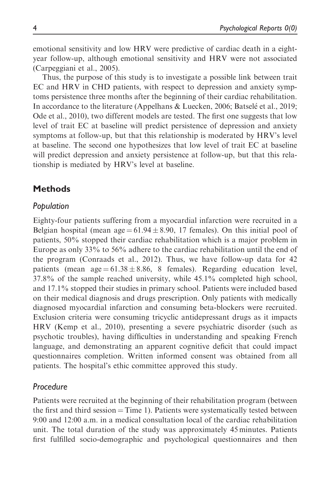emotional sensitivity and low HRV were predictive of cardiac death in a eightyear follow-up, although emotional sensitivity and HRV were not associated (Carpeggiani et al., 2005).

Thus, the purpose of this study is to investigate a possible link between trait EC and HRV in CHD patients, with respect to depression and anxiety symptoms persistence three months after the beginning of their cardiac rehabilitation. In accordance to the literature (Appelhans & Luecken, 2006; Batselé et al., 2019; Ode et al., 2010), two different models are tested. The first one suggests that low level of trait EC at baseline will predict persistence of depression and anxiety symptoms at follow-up, but that this relationship is moderated by HRV's level at baseline. The second one hypothesizes that low level of trait EC at baseline will predict depression and anxiety persistence at follow-up, but that this relationship is mediated by HRV's level at baseline.

# **Methods**

## Population

Eighty-four patients suffering from a myocardial infarction were recruited in a Belgian hospital (mean  $age = 61.94 \pm 8.90$ , 17 females). On this initial pool of patients, 50% stopped their cardiac rehabilitation which is a major problem in Europe as only 33% to 56% adhere to the cardiac rehabilitation until the end of the program (Conraads et al., 2012). Thus, we have follow-up data for 42 patients (mean  $age = 61.38 \pm 8.86$ , 8 females). Regarding education level, 37.8% of the sample reached university, while 45.1% completed high school, and 17.1% stopped their studies in primary school. Patients were included based on their medical diagnosis and drugs prescription. Only patients with medically diagnosed myocardial infarction and consuming beta-blockers were recruited. Exclusion criteria were consuming tricyclic antidepressant drugs as it impacts HRV (Kemp et al., 2010), presenting a severe psychiatric disorder (such as psychotic troubles), having difficulties in understanding and speaking French language, and demonstrating an apparent cognitive deficit that could impact questionnaires completion. Written informed consent was obtained from all patients. The hospital's ethic committee approved this study.

## Procedure

Patients were recruited at the beginning of their rehabilitation program (between the first and third session  $=$  Time 1). Patients were systematically tested between 9:00 and 12:00 a.m. in a medical consultation local of the cardiac rehabilitation unit. The total duration of the study was approximately 45 minutes. Patients first fulfilled socio-demographic and psychological questionnaires and then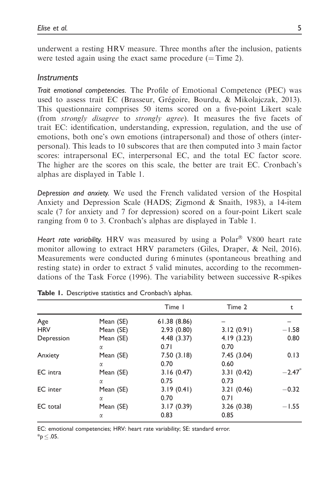underwent a resting HRV measure. Three months after the inclusion, patients were tested again using the exact same procedure  $($ = Time 2).

### **Instruments**

Trait emotional competencies. The Profile of Emotional Competence (PEC) was used to assess trait EC (Brasseur, Grégoire, Bourdu, & Mikolajczak, 2013). This questionnaire comprises 50 items scored on a five-point Likert scale (from strongly disagree to strongly agree). It measures the five facets of trait EC: identification, understanding, expression, regulation, and the use of emotions, both one's own emotions (intrapersonal) and those of others (interpersonal). This leads to 10 subscores that are then computed into 3 main factor scores: intrapersonal EC, interpersonal EC, and the total EC factor score. The higher are the scores on this scale, the better are trait EC. Cronbach's alphas are displayed in Table 1.

Depression and anxiety. We used the French validated version of the Hospital Anxiety and Depression Scale (HADS; Zigmond & Snaith, 1983), a 14-item scale (7 for anxiety and 7 for depression) scored on a four-point Likert scale ranging from 0 to 3. Cronbach's alphas are displayed in Table 1.

Heart rate variability. HRV was measured by using a Polar<sup>®</sup> V800 heart rate monitor allowing to extract HRV parameters (Giles, Draper, & Neil, 2016). Measurements were conducted during 6 minutes (spontaneous breathing and resting state) in order to extract 5 valid minutes, according to the recommendations of the Task Force (1996). The variability between successive R-spikes

|            |           | Time 1      | Time 2     | t                    |
|------------|-----------|-------------|------------|----------------------|
| Age        | Mean (SE) | 61.38(8.86) |            |                      |
| <b>HRV</b> | Mean (SE) | 2.93(0.80)  | 3.12(0.91) | $-1.58$              |
| Depression | Mean (SE) | 4.48 (3.37) | 4.19(3.23) | 0.80                 |
|            | α         | 0.71        | 0.70       |                      |
| Anxiety    | Mean (SE) | 7.50(3.18)  | 7.45(3.04) | 0.13                 |
|            | α         | 0.70        | 0.60       |                      |
| EC intra   | Mean (SE) | 3.16(0.47)  | 3.31(0.42) | $-2.47$ <sup>*</sup> |
|            | α         | 0.75        | 0.73       |                      |
| EC inter   | Mean (SE) | 3.19(0.41)  | 3.21(0.46) | $-0.32$              |
|            | α         | 0.70        | 0.71       |                      |
| EC total   | Mean (SE) | 3.17(0.39)  | 3.26(0.38) | $-1.55$              |
|            | α         | 0.83        | 0.85       |                      |

|  | Table 1. Descriptive statistics and Cronbach's alphas. |  |  |  |  |
|--|--------------------------------------------------------|--|--|--|--|
|--|--------------------------------------------------------|--|--|--|--|

EC: emotional competencies; HRV: heart rate variability; SE: standard error.

 $*_{p} \leq .05.$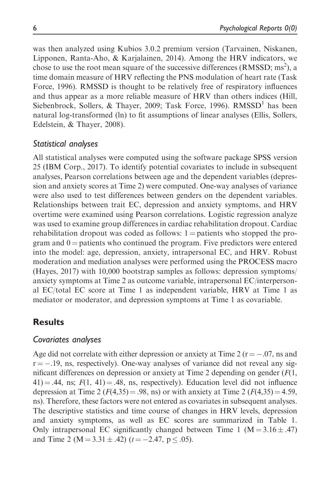was then analyzed using Kubios 3.0.2 premium version (Tarvainen, Niskanen, Lipponen, Ranta-Aho, & Karjalainen, 2014). Among the HRV indicators, we chose to use the root mean square of the successive differences (RMSSD; ms<sup>2</sup>), a time domain measure of HRV reflecting the PNS modulation of heart rate (Task Force, 1996). RMSSD is thought to be relatively free of respiratory influences and thus appear as a more reliable measure of HRV than others indices (Hill, Siebenbrock, Sollers, & Thayer, 2009; Task Force, 1996).  $RMSSD<sup>1</sup>$  has been natural log-transformed (ln) to fit assumptions of linear analyses (Ellis, Sollers, Edelstein, & Thayer, 2008).

## Statistical analyses

All statistical analyses were computed using the software package SPSS version 25 (IBM Corp., 2017). To identify potential covariates to include in subsequent analyses, Pearson correlations between age and the dependent variables (depression and anxiety scores at Time 2) were computed. One-way analyses of variance were also used to test differences between genders on the dependent variables. Relationships between trait EC, depression and anxiety symptoms, and HRV overtime were examined using Pearson correlations. Logistic regression analyze was used to examine group differences in cardiac rehabilitation dropout. Cardiac rehabilitation dropout was coded as follows:  $1 =$  patients who stopped the program and  $0 =$  patients who continued the program. Five predictors were entered into the model: age, depression, anxiety, intrapersonal EC, and HRV. Robust moderation and mediation analyses were performed using the PROCESS macro (Hayes, 2017) with 10,000 bootstrap samples as follows: depression symptoms/ anxiety symptoms at Time 2 as outcome variable, intrapersonal EC/interpersonal EC/total EC score at Time 1 as independent variable, HRV at Time 1 as mediator or moderator, and depression symptoms at Time 1 as covariable.

## Results

## Covariates analyses

Age did not correlate with either depression or anxiety at Time 2 ( $r = -.07$ , ns and  $r = -19$ , ns, respectively). One-way analyses of variance did not reveal any significant differences on depression or anxiety at Time 2 depending on gender  $(F(1,$  $(41) = .44$ , ns;  $F(1, 41) = .48$ , ns, respectively). Education level did not influence depression at Time 2 ( $F(4,35) = .98$ , ns) or with anxiety at Time 2 ( $F(4,35) = 4.59$ , ns). Therefore, these factors were not entered as covariates in subsequent analyses. The descriptive statistics and time course of changes in HRV levels, depression and anxiety symptoms, as well as EC scores are summarized in Table 1. Only intrapersonal EC significantly changed between Time 1 ( $M = 3.16 \pm .47$ ) and Time 2 (M = 3.31  $\pm$  .42) (t = -2.47, p  $\le$  .05).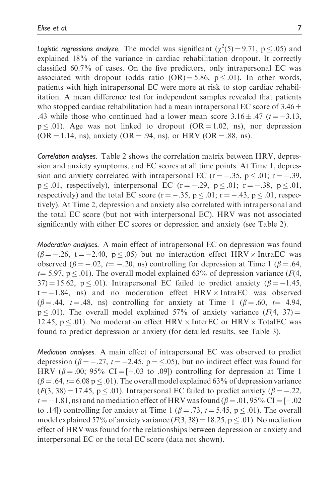Logistic regressions analyze. The model was significant  $(\chi^2(5) = 9.71, p \le .05)$  and explained 18% of the variance in cardiac rehabilitation dropout. It correctly classified 60.7% of cases. On the five predictors, only intrapersonal EC was associated with dropout (odds ratio  $(OR) = 5.86$ ,  $p \le 0.01$ ). In other words, patients with high intrapersonal EC were more at risk to stop cardiac rehabilitation. A mean difference test for independent samples revealed that patients who stopped cardiac rehabilitation had a mean intrapersonal EC score of 3.46  $\pm$ .43 while those who continued had a lower mean score  $3.16 \pm .47$  ( $t = -3.13$ ,  $p \leq 0.01$ . Age was not linked to dropout (OR = 1.02, ns), nor depression  $(OR = 1.14, ns)$ , anxiety  $(OR = .94, ns)$ , or HRV  $(OR = .88, ns)$ .

Correlation analyses. Table 2 shows the correlation matrix between HRV, depression and anxiety symptoms, and EC scores at all time points. At Time 1, depression and anxiety correlated with intrapersonal EC ( $r = -.35$ ,  $p \le .01$ ;  $r = -.39$ ,  $p \leq 0.01$ , respectively), interpersonal EC (r = -.29, p  $\leq 0.01$ ; r = -.38, p  $\leq 0.01$ , respectively) and the total EC score ( $r = -.35$ ,  $p \le .01$ ;  $r = -.43$ ,  $p \le .01$ , respectively). At Time 2, depression and anxiety also correlated with intrapersonal and the total EC score (but not with interpersonal EC). HRV was not associated significantly with either EC scores or depression and anxiety (see Table 2).

Moderation analyses. A main effect of intrapersonal EC on depression was found  $(\beta = -.26, t = -2.40, p \le .05)$  but no interaction effect HRV  $\times$  IntraEC was observed ( $\beta = -.02$ ,  $t = -.20$ , ns) controlling for depression at Time 1 ( $\beta = .64$ ,  $t=$  5.97, p  $\leq$  0.01). The overall model explained 63% of depression variance (F(4,  $37$ ) = 15.62, p < .01). Intrapersonal EC failed to predict anxiety ( $\beta$  = -1.45,  $t = -1.84$ , ns) and no moderation effect HRV  $\times$  IntraEC was observed  $(\beta = .44, t = .48, \text{ns})$  controlling for anxiety at Time 1  $(\beta = .60, t = 4.94, t)$  $p \leq .01$ ). The overall model explained 57% of anxiety variance ( $F(4, 37) =$ 12.45,  $p \le 0.01$ ). No moderation effect HRV  $\times$  InterEC or HRV  $\times$  TotalEC was found to predict depression or anxiety (for detailed results, see Table 3).

Mediation analyses. A main effect of intrapersonal EC was observed to predict depression ( $\beta = -.27$ ,  $t = -2.45$ ,  $p = \le .05$ ), but no indirect effect was found for HRV ( $\beta$  = .00; 95% CI = [-.03 to .09]) controlling for depression at Time 1  $(\beta = .64, t = 6.08 \text{ p} \le .01)$ . The overall model explained 63% of depression variance  $(F(3, 38) = 17.45, p \le 0.01)$ . Intrapersonal EC failed to predict anxiety  $(\beta = -.22, ...)$  $t = -1.81$ , ns) and no mediation effect of HRV was found ( $\beta = .01, 95\%$  CI = [-.02 to .14) controlling for anxiety at Time 1 ( $\beta = .73$ ,  $t = 5.45$ ,  $p \le .01$ ). The overall model explained 57% of anxiety variance  $(F(3, 38) = 18.25, p \le .01)$ . No mediation effect of HRV was found for the relationships between depression or anxiety and interpersonal EC or the total EC score (data not shown).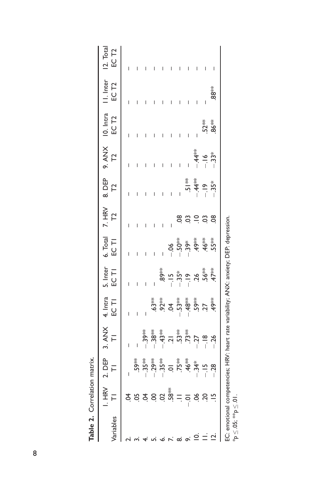| ariables       | I. HRV<br>$\bar{r}$      | $2.$ DEP<br>TI | $3.74X$<br>$\overline{1}$                                                               | 4. Intra<br>EC TI       | 5. Inter<br>EC TI          | $6.$ Total<br>EC TI                               | $\frac{7. HRV}{T2}$ | 8. DEP<br>T2                                                                                                                                                           | 9. ANX $+$              | 10. Intra<br>EC T2 | I. Inter<br>EC T <sub>2</sub> | 12. Total<br>EC T <sub>2</sub> |
|----------------|--------------------------|----------------|-----------------------------------------------------------------------------------------|-------------------------|----------------------------|---------------------------------------------------|---------------------|------------------------------------------------------------------------------------------------------------------------------------------------------------------------|-------------------------|--------------------|-------------------------------|--------------------------------|
|                |                          |                |                                                                                         |                         |                            |                                                   |                     | I                                                                                                                                                                      | I                       | I                  | I                             |                                |
|                | ।<br>उद्युवेद व के नव बे |                |                                                                                         |                         |                            |                                                   |                     |                                                                                                                                                                        |                         |                    |                               |                                |
|                |                          |                |                                                                                         |                         |                            |                                                   |                     |                                                                                                                                                                        |                         |                    |                               |                                |
|                |                          |                | €7 – 10 سنة **<br>10 سنة ** 10 سنة **<br>10 سنة ** 10 سنة ***                           |                         |                            |                                                   |                     |                                                                                                                                                                        |                         |                    |                               |                                |
|                |                          |                |                                                                                         |                         |                            |                                                   |                     |                                                                                                                                                                        |                         |                    |                               |                                |
|                |                          |                |                                                                                         |                         |                            |                                                   |                     |                                                                                                                                                                        |                         |                    |                               |                                |
| ထ              |                          |                |                                                                                         |                         |                            |                                                   |                     |                                                                                                                                                                        |                         |                    |                               |                                |
| o.             |                          |                |                                                                                         |                         |                            |                                                   |                     |                                                                                                                                                                        |                         |                    |                               |                                |
| $\overline{a}$ |                          |                |                                                                                         |                         |                            |                                                   |                     |                                                                                                                                                                        |                         |                    | I                             |                                |
| $\equiv$       |                          |                |                                                                                         | ؉<br>ؿۼٚؠۊۿۼۊۑ<br>ؿۼۼۼۼ | **<br>\$\$ בַּהְ שָׁיָה עֲ | <b>9</b><br>9 5 <del>8 4 9 7</del><br>9 9 9 9 9 9 | ဒ                   | $\frac{1}{2}$<br>$\frac{1}{2}$<br>$\frac{1}{2}$<br>$\frac{1}{2}$<br>$\frac{1}{2}$<br>$\frac{1}{2}$<br>$\frac{1}{2}$<br>$\frac{1}{2}$<br>$\frac{1}{2}$<br>$\frac{1}{2}$ | – 16<br>– 16<br>– 13,3* |                    |                               |                                |
| $\overline{C}$ | $20 - 15$                |                |                                                                                         |                         |                            |                                                   | ఇ                   |                                                                                                                                                                        |                         | $52**$             | **<br>88                      |                                |
|                |                          |                | EC: emotional competencies; HRV: heart rate variability; ANX: anxiety; DEP: depression. |                         |                            |                                                   |                     |                                                                                                                                                                        |                         |                    |                               |                                |

 $*_\text{p} \leq .05;$   $^{**}\text{p} \leq .01.$ 

 $\text{``p}\leq .05; \text{ ``p}\leq .01.$ 

Table 2. Correlation matrix. Table 2. Correlation matrix.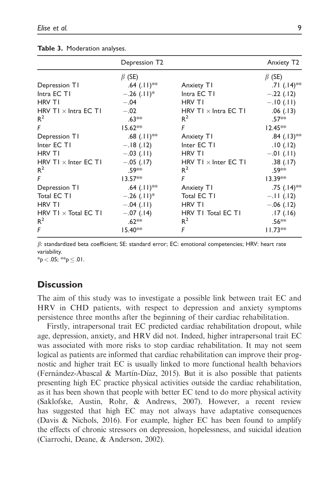|                             | Depression T2             |                             | Anxiety T <sub>2</sub>    |
|-----------------------------|---------------------------|-----------------------------|---------------------------|
|                             | $\beta$ (SE)              |                             | $\beta$ (SE)              |
| Depression T1               | .64 $(.11)*$              | Anxiety T1                  | .71 $(.14)$ <sup>**</sup> |
| Intra EC T1                 | $-.26(.11)^*$             | Intra EC T1                 | $-.22(.12)$               |
| <b>HRV TI</b>               | $-.04$                    | <b>HRV TI</b>               | $-.10(.11)$               |
| HRV TI $\times$ Intra EC TI | $-.02$                    | HRV TI $\times$ Intra EC TI | .06(.13)                  |
| $R^2$                       | $.63**$                   | $R^2$                       | $.57**$                   |
| F                           | $15.62**$                 | F                           | $12.45**$                 |
| Depression T1               | $.68$ (.11) <sup>**</sup> | Anxiety T1                  | $.84(.13)$ **             |
| Inter EC TI                 | $-.18(.12)$               | Inter EC TI                 | .10(.12)                  |
| <b>HRV TI</b>               | $-.03$ (.11)              | <b>HRV TI</b>               | $-.01$ (.11)              |
| HRV TI $\times$ Inter EC TI | $-.05$ (.17)              | HRV TI $\times$ Inter EC TI | .38(.17)                  |
| $R^2$                       | .59**                     | $R^2$                       | .59 <sup>*</sup>          |
| F                           | $13.57**$                 | F                           | $13.39**$                 |
| Depression T1               | .64 $(.11)**$             | Anxiety T1                  | $.75$ (.14) <sup>**</sup> |
| Total EC T1                 | $-.26$ (.11) <sup>*</sup> | Total EC T1                 | $-.11$ (.12)              |
| <b>HRV TI</b>               | $-.04(.11)$               | <b>HRV TI</b>               | $-.06(.12)$               |
| HRV TI $\times$ Total EC TI | $-.07(.14)$               | HRV TI Total EC TI          | .17(.16)                  |
| $R^2$                       | $.62**$                   | $R^2$                       | .56**                     |
| F                           | $15.40**$                 | F                           | $11.73**$                 |

Table 3. Moderation analyses.

 $\beta$ : standardized beta coefficient; SE: standard error; EC: emotional competencies; HRV: heart rate variability.

 $*_{p}$  < .05;  $*_{p}$   $\leq$  .01.

## **Discussion**

The aim of this study was to investigate a possible link between trait EC and HRV in CHD patients, with respect to depression and anxiety symptoms persistence three months after the beginning of their cardiac rehabilitation.

Firstly, intrapersonal trait EC predicted cardiac rehabilitation dropout, while age, depression, anxiety, and HRV did not. Indeed, higher intrapersonal trait EC was associated with more risks to stop cardiac rehabilitation. It may not seem logical as patients are informed that cardiac rehabilitation can improve their prognostic and higher trait EC is usually linked to more functional health behaviors (Fernández-Abascal & Martín-Díaz, 2015). But it is also possible that patients presenting high EC practice physical activities outside the cardiac rehabilitation, as it has been shown that people with better EC tend to do more physical activity (Saklofske, Austin, Rohr, & Andrews, 2007). However, a recent review has suggested that high EC may not always have adaptative consequences (Davis & Nichols, 2016). For example, higher EC has been found to amplify the effects of chronic stressors on depression, hopelessness, and suicidal ideation (Ciarrochi, Deane, & Anderson, 2002).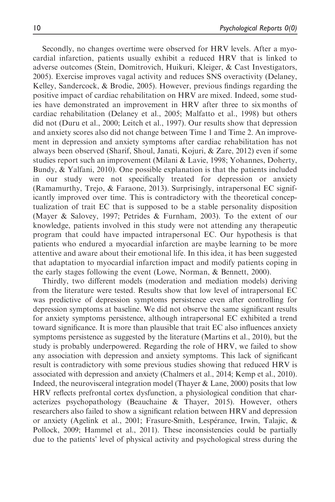Secondly, no changes overtime were observed for HRV levels. After a myocardial infarction, patients usually exhibit a reduced HRV that is linked to adverse outcomes (Stein, Domitrovich, Huikuri, Kleiger, & Cast Investigators, 2005). Exercise improves vagal activity and reduces SNS overactivity (Delaney, Kelley, Sandercock, & Brodie, 2005). However, previous findings regarding the positive impact of cardiac rehabilitation on HRV are mixed. Indeed, some studies have demonstrated an improvement in HRV after three to six months of cardiac rehabilitation (Delaney et al., 2005; Malfatto et al., 1998) but others did not (Duru et al., 2000; Leitch et al., 1997). Our results show that depression and anxiety scores also did not change between Time 1 and Time 2. An improvement in depression and anxiety symptoms after cardiac rehabilitation has not always been observed (Sharif, Shoul, Janati, Kojuri, & Zare, 2012) even if some studies report such an improvement (Milani & Lavie, 1998; Yohannes, Doherty, Bundy, & Yalfani, 2010). One possible explanation is that the patients included in our study were not specifically treated for depression or anxiety (Ramamurthy, Trejo, & Faraone, 2013). Surprisingly, intrapersonal EC significantly improved over time. This is contradictory with the theoretical conceptualization of trait EC that is supposed to be a stable personality disposition (Mayer & Salovey, 1997; Petrides & Furnham, 2003). To the extent of our knowledge, patients involved in this study were not attending any therapeutic program that could have impacted intrapersonal EC. Our hypothesis is that patients who endured a myocardial infarction are maybe learning to be more attentive and aware about their emotional life. In this idea, it has been suggested that adaptation to myocardial infarction impact and modify patients coping in the early stages following the event (Lowe, Norman, & Bennett, 2000).

Thirdly, two different models (moderation and mediation models) deriving from the literature were tested. Results show that low level of intrapersonal EC was predictive of depression symptoms persistence even after controlling for depression symptoms at baseline. We did not observe the same significant results for anxiety symptoms persistence, although intrapersonal EC exhibited a trend toward significance. It is more than plausible that trait EC also influences anxiety symptoms persistence as suggested by the literature (Martins et al., 2010), but the study is probably underpowered. Regarding the role of HRV, we failed to show any association with depression and anxiety symptoms. This lack of significant result is contradictory with some previous studies showing that reduced HRV is associated with depression and anxiety (Chalmers et al., 2014; Kemp et al., 2010). Indeed, the neurovisceral integration model (Thayer & Lane, 2000) posits that low HRV reflects prefrontal cortex dysfunction, a physiological condition that characterizes psychopathology (Beauchaine & Thayer, 2015). However, others researchers also failed to show a significant relation between HRV and depression or anxiety (Agelink et al., 2001; Frasure-Smith, Lespérance, Irwin, Talajic, & Pollock, 2009; Hammel et al., 2011). These inconsistencies could be partially due to the patients' level of physical activity and psychological stress during the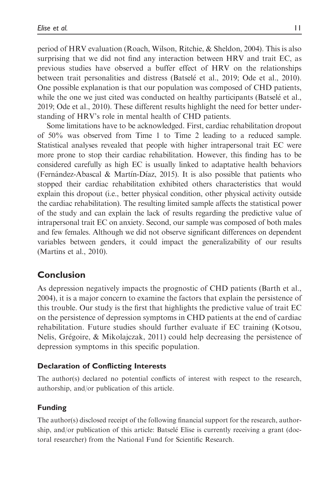period of HRV evaluation (Roach, Wilson, Ritchie, & Sheldon, 2004). This is also surprising that we did not find any interaction between HRV and trait EC, as previous studies have observed a buffer effect of HRV on the relationships between trait personalities and distress (Batselé et al., 2019; Ode et al., 2010). One possible explanation is that our population was composed of CHD patients, while the one we just cited was conducted on healthy participants (Batselé et al., 2019; Ode et al., 2010). These different results highlight the need for better understanding of HRV's role in mental health of CHD patients.

Some limitations have to be acknowledged. First, cardiac rehabilitation dropout of 50% was observed from Time 1 to Time 2 leading to a reduced sample. Statistical analyses revealed that people with higher intrapersonal trait EC were more prone to stop their cardiac rehabilitation. However, this finding has to be considered carefully as high EC is usually linked to adaptative health behaviors (Fernandez-Abascal & Martin-Diaz, 2015). It is also possible that patients who stopped their cardiac rehabilitation exhibited others characteristics that would explain this dropout (i.e., better physical condition, other physical activity outside the cardiac rehabilitation). The resulting limited sample affects the statistical power of the study and can explain the lack of results regarding the predictive value of intrapersonal trait EC on anxiety. Second, our sample was composed of both males and few females. Although we did not observe significant differences on dependent variables between genders, it could impact the generalizability of our results (Martins et al., 2010).

## Conclusion

As depression negatively impacts the prognostic of CHD patients (Barth et al., 2004), it is a major concern to examine the factors that explain the persistence of this trouble. Our study is the first that highlights the predictive value of trait EC on the persistence of depression symptoms in CHD patients at the end of cardiac rehabilitation. Future studies should further evaluate if EC training (Kotsou, Nelis, Gregoire, & Mikolajczak, 2011) could help decreasing the persistence of depression symptoms in this specific population.

## Declaration of Conflicting Interests

The author(s) declared no potential conflicts of interest with respect to the research, authorship, and/or publication of this article.

## Funding

The author(s) disclosed receipt of the following financial support for the research, authorship, and/or publication of this article: Batselé Elise is currently receiving a grant (doctoral researcher) from the National Fund for Scientific Research.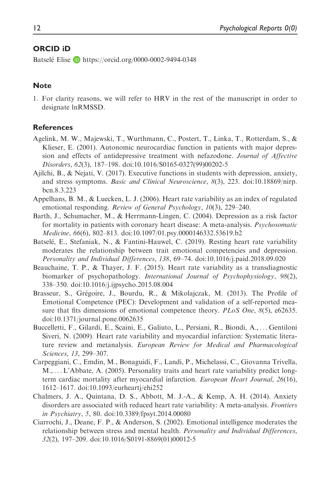### ORCID iD

Batselé Elise **D** <https://orcid.org/0000-0002-9494-0348>

#### Note

1. For clarity reasons, we will refer to HRV in the rest of the manuscript in order to designate lnRMSSD.

#### References

- Agelink, M. W., Majewski, T., Wurthmann, C., Postert, T., Linka, T., Rotterdam, S., & Klieser, E. (2001). Autonomic neurocardiac function in patients with major depression and effects of antidepressive treatment with nefazodone. Journal of Affective Disorders, 62(3), 187–198. doi:10.1016/S0165-0327(99)00202-5
- Ajilchi, B., & Nejati, V. (2017). Executive functions in students with depression, anxiety, and stress symptoms. Basic and Clinical Neuroscience, 8(3), 223. doi:10.18869/nirp. bcn.8.3.223
- Appelhans, B. M., & Luecken, L. J. (2006). Heart rate variability as an index of regulated emotional responding. Review of General Psychology, 10(3), 229-240.
- Barth, J., Schumacher, M., & Herrmann-Lingen, C. (2004). Depression as a risk factor for mortality in patients with coronary heart disease: A meta-analysis. *Psychosomatic* Medicine, 66(6), 802–813. doi:10.1097/01.psy.0000146332.53619.b2
- Batselé, E., Stefaniak, N., & Fantini-Hauwel, C. (2019). Resting heart rate variability moderates the relationship between trait emotional competencies and depression. Personality and Individual Differences, 138, 69–74. doi:10.1016/j.paid.2018.09.020
- Beauchaine, T. P., & Thayer, J. F. (2015). Heart rate variability as a transdiagnostic biomarker of psychopathology. International Journal of Psychophysiology, 98(2), 338–350. doi:10.1016/j.ijpsycho.2015.08.004
- Brasseur, S., Grégoire, J., Bourdu, R., & Mikolajczak, M. (2013). The Profile of Emotional Competence (PEC): Development and validation of a self-reported measure that fits dimensions of emotional competence theory. *PLoS One*, 8(5), e62635. doi:10.1371/journal.pone.0062635
- Buccelletti, F., Gilardi, E., Scaini, E., Galiuto, L., Persiani, R., Biondi, A., ... Gentiloni Siveri, N. (2009). Heart rate variability and myocardial infarction: Systematic literature review and metanalysis. European Review for Medical and Pharmacological Sciences, 13, 299–307.
- Carpeggiani, C., Emdin, M., Bonaguidi, F., Landi, P., Michelassi, C., Giovanna Trivella, M., ...L'Abbate, A. (2005). Personality traits and heart rate variability predict longterm cardiac mortality after myocardial infarction. European Heart Journal, 26(16), 1612–1617. doi:10.1093/eurheartj/ehi252
- Chalmers, J. A., Quintana, D. S., Abbott, M. J.-A., & Kemp, A. H. (2014). Anxiety disorders are associated with reduced heart rate variability: A meta-analysis. Frontiers in Psychiatry, 5, 80. doi:10.3389/fpsyt.2014.00080
- Ciarrochi, J., Deane, F. P., & Anderson, S. (2002). Emotional intelligence moderates the relationship between stress and mental health. Personality and Individual Differences, 32(2), 197–209. doi:10.1016/S0191-8869(01)00012-5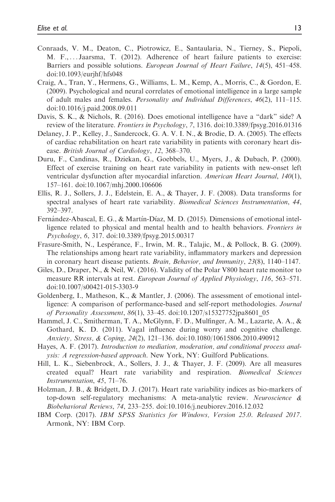- Conraads, V. M., Deaton, C., Piotrowicz, E., Santaularia, N., Tierney, S., Piepoli, M. F., ... Jaarsma, T. (2012). Adherence of heart failure patients to exercise: Barriers and possible solutions. *European Journal of Heart Failure*, 14(5), 451–458. doi:10.1093/eurjhf/hfs048
- Craig, A., Tran, Y., Hermens, G., Williams, L. M., Kemp, A., Morris, C., & Gordon, E. (2009). Psychological and neural correlates of emotional intelligence in a large sample of adult males and females. Personality and Individual Differences, 46(2), 111–115. doi:10.1016/j.paid.2008.09.011
- Davis, S. K., & Nichols, R. (2016). Does emotional intelligence have a "dark" side? A review of the literature. Frontiers in Psychology, 7, 1316. doi:10.3389/fpsyg.2016.01316
- Delaney, J. P., Kelley, J., Sandercock, G. A. V. I. N., & Brodie, D. A. (2005). The effects of cardiac rehabilitation on heart rate variability in patients with coronary heart disease. British Journal of Cardiology, 12, 368–370.
- Duru, F., Candinas, R., Dziekan, G., Goebbels, U., Myers, J., & Dubach, P. (2000). Effect of exercise training on heart rate variability in patients with new-onset left ventricular dysfunction after myocardial infarction. American Heart Journal, 140(1), 157–161. doi:10.1067/mhj.2000.106606
- Ellis, R. J., Sollers, J. J., Edelstein, E. A., & Thayer, J. F. (2008). Data transforms for spectral analyses of heart rate variability. Biomedical Sciences Instrumentation, 44, 392–397.
- Fernández-Abascal, E. G., & Martín-Díaz, M. D. (2015). Dimensions of emotional intelligence related to physical and mental health and to health behaviors. Frontiers in Psychology, 6, 317. doi:10.3389/fpsyg.2015.00317
- Frasure-Smith, N., Lesperance, F., Irwin, M. R., Talajic, M., & Pollock, B. G. (2009). The relationships among heart rate variability, inflammatory markers and depression in coronary heart disease patients. Brain, Behavior, and Immunity, 23(8), 1140–1147.
- Giles, D., Draper, N., & Neil, W. (2016). Validity of the Polar V800 heart rate monitor to measure RR intervals at rest. *European Journal of Applied Physiology*, 116, 563–571. doi:10.1007/s00421-015-3303-9
- Goldenberg, I., Matheson, K., & Mantler, J. (2006). The assessment of emotional intelligence: A comparison of performance-based and self-report methodologies. Journal of Personality Assessment, 86(1), 33–45. doi:10.1207/s15327752jpa8601\_05
- Hammel, J. C., Smitherman, T. A., McGlynn, F. D., Mulfinger, A. M., Lazarte, A. A., & Gothard, K. D. (2011). Vagal influence during worry and cognitive challenge. Anxiety, Stress, & Coping, 24(2), 121–136. doi:10.1080/10615806.2010.490912
- Hayes, A. F. (2017). Introduction to mediation, moderation, and conditional process analysis: A regression-based approach. New York, NY: Guilford Publications.
- Hill, L. K., Siebenbrock, A., Sollers, J. J., & Thayer, J. F. (2009). Are all measures created equal? Heart rate variability and respiration. Biomedical Sciences Instrumentation, 45, 71–76.
- Holzman, J. B., & Bridgett, D. J. (2017). Heart rate variability indices as bio-markers of top-down self-regulatory mechanisms: A meta-analytic review. Neuroscience  $\&$ Biobehavioral Reviews, 74, 233–255. doi:10.1016/j.neubiorev.2016.12.032
- IBM Corp. (2017). IBM SPSS Statistics for Windows, Version 25.0. Released 2017. Armonk, NY: IBM Corp.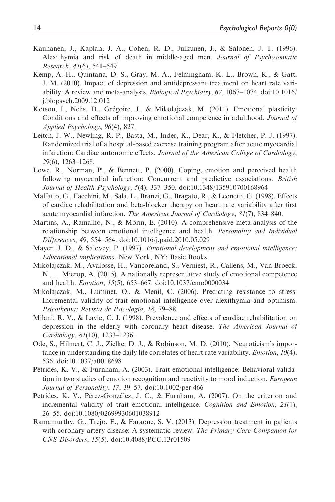- Kauhanen, J., Kaplan, J. A., Cohen, R. D., Julkunen, J., & Salonen, J. T. (1996). Alexithymia and risk of death in middle-aged men. Journal of Psychosomatic Research, 41(6), 541–549.
- Kemp, A. H., Quintana, D. S., Gray, M. A., Felmingham, K. L., Brown, K., & Gatt, J. M. (2010). Impact of depression and antidepressant treatment on heart rate variability: A review and meta-analysis. Biological Psychiatry, 67, 1067–1074. doi:10.1016/ j.biopsych.2009.12.012
- Kotsou, I., Nelis, D., Grégoire, J., & Mikolajczak, M. (2011). Emotional plasticity: Conditions and effects of improving emotional competence in adulthood. Journal of Applied Psychology, 96(4), 827.
- Leitch, J. W., Newling, R. P., Basta, M., Inder, K., Dear, K., & Fletcher, P. J. (1997). Randomized trial of a hospital-based exercise training program after acute myocardial infarction: Cardiac autonomic effects. Journal of the American College of Cardiology, 29(6), 1263–1268.
- Lowe, R., Norman, P., & Bennett, P. (2000). Coping, emotion and perceived health following myocardial infarction: Concurrent and predictive associations. *British* Journal of Health Psychology, 5(4), 337–350. doi:10.1348/135910700168964
- Malfatto, G., Facchini, M., Sala, L., Branzi, G., Bragato, R., & Leonetti, G. (1998). Effects of cardiac rehabilitation and beta-blocker therapy on heart rate variability after first acute myocardial infarction. The American Journal of Cardiology, 81(7), 834–840.
- Martins, A., Ramalho, N., & Morin, E. (2010). A comprehensive meta-analysis of the relationship between emotional intelligence and health. *Personality and Individual* Differences, 49, 554–564. doi:10.1016/j.paid.2010.05.029
- Mayer, J. D., & Salovey, P. (1997). *Emotional development and emotional intelligence:* Educational implications. New York, NY: Basic Books.
- Mikolajczak, M., Avalosse, H., Vancoreland, S., Verniest, R., Callens, M., Van Broeck, N., ... Mierop, A. (2015). A nationally representative study of emotional competence and health. Emotion, 15(5), 653–667. doi:10.1037/emo0000034
- Mikolajczak, M., Luminet, O., & Menil, C. (2006). Predicting resistance to stress: Incremental validity of trait emotional intelligence over alexithymia and optimism. Psicothema: Revista de Psicologia, 18, 79–88.
- Milani, R. V., & Lavie, C. J. (1998). Prevalence and effects of cardiac rehabilitation on depression in the elderly with coronary heart disease. The American Journal of Cardiology, 81(10), 1233–1236.
- Ode, S., Hilmert, C. J., Zielke, D. J., & Robinson, M. D. (2010). Neuroticism's importance in understanding the daily life correlates of heart rate variability. Emotion, 10(4), 536. doi:10.1037/a0018698
- Petrides, K. V., & Furnham, A. (2003). Trait emotional intelligence: Behavioral validation in two studies of emotion recognition and reactivity to mood induction. *European* Journal of Personality, 17, 39–57. doi:10.1002/per.466
- Petrides, K. V., Pérez-González, J. C., & Furnham, A. (2007). On the criterion and incremental validity of trait emotional intelligence. Cognition and Emotion, 21(1), 26–55. doi:10.1080/02699930601038912
- Ramamurthy, G., Trejo, E., & Faraone, S. V. (2013). Depression treatment in patients with coronary artery disease: A systematic review. The Primary Care Companion for CNS Disorders, 15(5). doi:10.4088/PCC.13r01509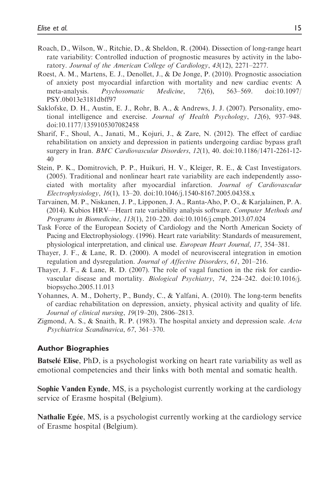- Roach, D., Wilson, W., Ritchie, D., & Sheldon, R. (2004). Dissection of long-range heart rate variability: Controlled induction of prognostic measures by activity in the laboratory. Journal of the American College of Cardiology, 43(12), 2271–2277.
- Roest, A. M., Martens, E. J., Denollet, J., & De Jonge, P. (2010). Prognostic association of anxiety post myocardial infarction with mortality and new cardiac events: A meta-analysis. Psychosomatic Medicine, 72(6), 563–569. doi:10.1097/ PSY.0b013e3181dbff97
- Saklofske, D. H., Austin, E. J., Rohr, B. A., & Andrews, J. J. (2007). Personality, emotional intelligence and exercise. Journal of Health Psychology, 12(6), 937–948. doi:10.1177/1359105307082458
- Sharif, F., Shoul, A., Janati, M., Kojuri, J., & Zare, N. (2012). The effect of cardiac rehabilitation on anxiety and depression in patients undergoing cardiac bypass graft surgery in Iran. BMC Cardiovascular Disorders, 12(1), 40. doi:10.1186/1471-2261-12- 40
- Stein, P. K., Domitrovich, P. P., Huikuri, H. V., Kleiger, R. E., & Cast Investigators. (2005). Traditional and nonlinear heart rate variability are each independently associated with mortality after myocardial infarction. Journal of Cardiovascular Electrophysiology, 16(1), 13–20. doi:10.1046/j.1540-8167.2005.04358.x
- Tarvainen, M. P., Niskanen, J. P., Lipponen, J. A., Ranta-Aho, P. O., & Karjalainen, P. A. (2014). Kubios HRV—Heart rate variability analysis software. Computer Methods and Programs in Biomedicine, 113(1), 210–220. doi:10.1016/j.cmpb.2013.07.024
- Task Force of the European Society of Cardiology and the North American Society of Pacing and Electrophysiology. (1996). Heart rate variability: Standards of measurement, physiological interpretation, and clinical use. European Heart Journal, 17, 354–381.
- Thayer, J. F., & Lane, R. D. (2000). A model of neurovisceral integration in emotion regulation and dysregulation. Journal of Affective Disorders, 61, 201–216.
- Thayer, J. F., & Lane, R. D. (2007). The role of vagal function in the risk for cardiovascular disease and mortality. Biological Psychiatry, 74, 224–242. doi:10.1016/j. biopsycho.2005.11.013
- Yohannes, A. M., Doherty, P., Bundy, C., & Yalfani, A. (2010). The long-term benefits of cardiac rehabilitation on depression, anxiety, physical activity and quality of life. Journal of clinical nursing, 19(19–20), 2806–2813.
- Zigmond, A. S., & Snaith, R. P. (1983). The hospital anxiety and depression scale.  $Acta$ Psychiatrica Scandinavica, 67, 361–370.

#### Author Biographies

**Batselé Elise**, PhD, is a psychologist working on heart rate variability as well as emotional competencies and their links with both mental and somatic health.

Sophie Vanden Eynde, MS, is a psychologist currently working at the cardiology service of Erasme hospital (Belgium).

Nathalie Egée, MS, is a psychologist currently working at the cardiology service of Erasme hospital (Belgium).